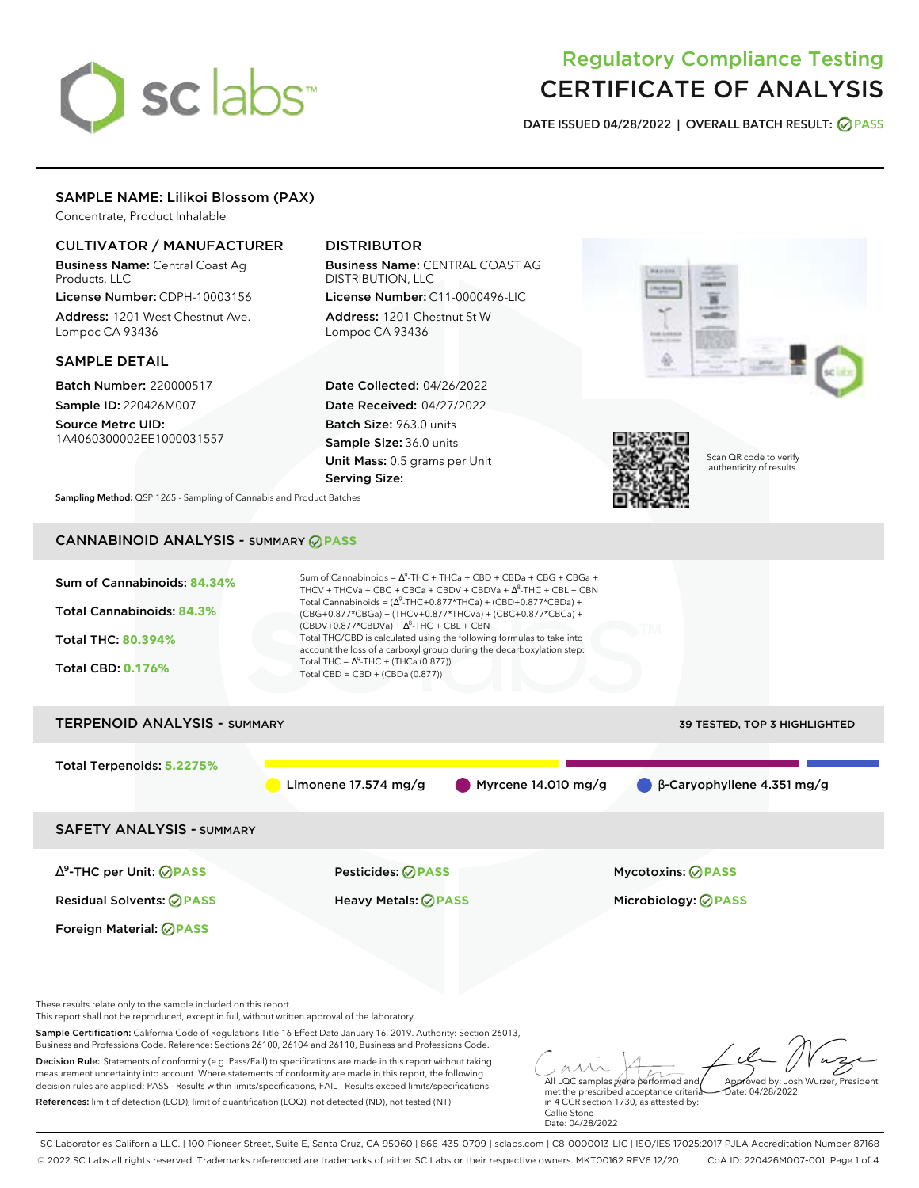# sclabs<sup>\*</sup>

# Regulatory Compliance Testing CERTIFICATE OF ANALYSIS

**DATE ISSUED 04/28/2022 | OVERALL BATCH RESULT: PASS**

# SAMPLE NAME: Lilikoi Blossom (PAX)

Concentrate, Product Inhalable

# CULTIVATOR / MANUFACTURER

Business Name: Central Coast Ag Products, LLC

License Number: CDPH-10003156 Address: 1201 West Chestnut Ave. Lompoc CA 93436

# SAMPLE DETAIL

Batch Number: 220000517 Sample ID: 220426M007

Source Metrc UID: 1A4060300002EE1000031557

# DISTRIBUTOR

Business Name: CENTRAL COAST AG DISTRIBUTION, LLC License Number: C11-0000496-LIC

Address: 1201 Chestnut St W Lompoc CA 93436

Date Collected: 04/26/2022 Date Received: 04/27/2022 Batch Size: 963.0 units Sample Size: 36.0 units Unit Mass: 0.5 grams per Unit Serving Size:





Scan QR code to verify authenticity of results.

**Sampling Method:** QSP 1265 - Sampling of Cannabis and Product Batches

# CANNABINOID ANALYSIS - SUMMARY **PASS**



Sample Certification: California Code of Regulations Title 16 Effect Date January 16, 2019. Authority: Section 26013, Business and Professions Code. Reference: Sections 26100, 26104 and 26110, Business and Professions Code.

Decision Rule: Statements of conformity (e.g. Pass/Fail) to specifications are made in this report without taking measurement uncertainty into account. Where statements of conformity are made in this report, the following decision rules are applied: PASS - Results within limits/specifications, FAIL - Results exceed limits/specifications. References: limit of detection (LOD), limit of quantification (LOQ), not detected (ND), not tested (NT)

All LQC samples were performed and met the prescribed acceptance criteria Approved by: Josh Wurzer, President  $ate: 04/28/2022$ 

in 4 CCR section 1730, as attested by: Callie Stone Date: 04/28/2022

SC Laboratories California LLC. | 100 Pioneer Street, Suite E, Santa Cruz, CA 95060 | 866-435-0709 | sclabs.com | C8-0000013-LIC | ISO/IES 17025:2017 PJLA Accreditation Number 87168 © 2022 SC Labs all rights reserved. Trademarks referenced are trademarks of either SC Labs or their respective owners. MKT00162 REV6 12/20 CoA ID: 220426M007-001 Page 1 of 4